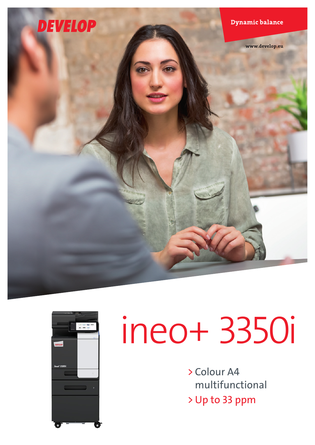



# ineo+ 3350i

> Colour A4 multifunctional > Up to 33 ppm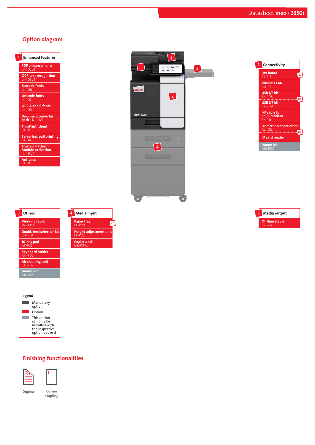### Option diagram













Height adjustment unit PF-P22

 $x<sub>2</sub>$ 

Paper tray PF-P20



# Finishing functionalities





stapling

Duplex Corner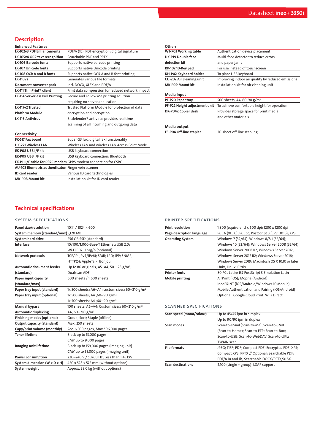# **Description**

| <b>Enhanced Features</b> |  |
|--------------------------|--|
|                          |  |

| LK-102v3 PDF Enhancements              | PDF/A (1b); PDF encryption; digital signature         |
|----------------------------------------|-------------------------------------------------------|
| LK-105v4 OCR text recognition          | Searchable PDF and PPTX                               |
| <b>LK-106 Barcode fonts</b>            | Supports native barcode printing                      |
| <b>LK-107 Unicode fonts</b>            | Supports native Unicode printing                      |
| LK-108 OCR A and B fonts               | Supports native OCR A and B font printing             |
| <b>LK-110v2</b>                        | Generates various file formats                        |
| Document converter pack                | incl. DOCX, XLSX and PDF/A                            |
| LK-111 ThinPrint® client               | Print data compression for reduced network impact     |
| <b>LK-114 Serverless Pull Printing</b> | Secure and Follow Me printing solution                |
|                                        | requiring no server application                       |
| LK-115v2 Trusted                       | Trusted Platform Module for protection of data        |
| <b>Platform Module</b>                 | encryption and decryption                             |
| <b>LK-116 Antivirus</b>                | Bitdefender <sup>®</sup> antivirus provides real time |
|                                        | scanning of all incoming and outgoing data            |
| Connectivity                           |                                                       |

| --                                                             |                                                 |  |
|----------------------------------------------------------------|-------------------------------------------------|--|
| FK-517 Fax board                                               | Super G3 fax, digital fax functionality         |  |
| <b>UK-221 Wireless LAN</b>                                     | Wireless LAN and wireless LAN Access Point Mode |  |
| EK-PO8 USB I/F kit                                             | USB keyboard connection                         |  |
| EK-PO9 USB I/F kit                                             | USB keyboard connection; Bluetooth              |  |
| EK-P11 I/F cable for CSRC modem GPRS modem connection for CSRC |                                                 |  |
| AU-102 Biometric authenticaton Finger vein scanner             |                                                 |  |
| <b>ID</b> card reader                                          | Various ID card technologies                    |  |
| <b>MK-P08 Mount kit</b>                                        | Installation kit for ID card reader             |  |
|                                                                |                                                 |  |

| Others                        |                                                   |
|-------------------------------|---------------------------------------------------|
| <b>WT-P03 Working table</b>   | Authentication device placement                   |
| UK-P19 Double feed            | Multi-feed detector to reduce errors              |
| detection kit                 | and paper jams                                    |
| KP-102 10-Key pad             | For use instead of touchscreen                    |
| KH-P02 Keyboard holder        | To place USB keyboard                             |
| CU-202 Air cleaning unit      | Improving indoor air quality by reduced emissions |
| MK-P09 Mount kit              | Installation kit for Air cleaning unit            |
| Media Input                   |                                                   |
| PF-P20 Paper tray             | 500 sheets, A4, 60-90 g/m <sup>2</sup>            |
| PF-P22 Height adjustment unit | To achieve comfortable height for operation       |
| DK-P04x Copier desk           | Provides storage space for print media            |
|                               | and other materials                               |
| Media output                  |                                                   |
| FS-P04 Off-line stapler       | 20-sheet off-line stapling                        |

# Technical specifications

#### system specifications

| Panel size/resolution                 | 10.1" / 1024 x 600                                          |
|---------------------------------------|-------------------------------------------------------------|
| System memory (standard/max) 5,120 MB |                                                             |
| System hard drive                     | 256 GB SSD (standard)                                       |
| Interface                             | 10/100/1,000-Base-T Ethernet; USB 2.0;                      |
|                                       | Wi-Fi 802.11 b/g/n (optional)                               |
| Network protocols                     | TCP/IP (IPv4/IPv6); SMB; LPD; IPP; SNMP;                    |
|                                       | HTTP(S); AppleTalk; Bonjour                                 |
| Automatic document feeder             | Up to 80 originals; A5-A4; 50-128 g/m <sup>2</sup> ;        |
| (standard)                            | Dualscan ADF                                                |
| Paper input capacity                  | 600 sheets / 1,600 sheets                                   |
| (standard/max)                        |                                                             |
| Paper tray input (standard)           | 1x 500 sheets; A6-A4; custom sizes; 60-210 g/m <sup>2</sup> |
| Paper tray input (optional)           | 1x 500 sheets; A4 ; 60-90 g/m <sup>2</sup>                  |
|                                       | 1x 500 sheets; A4 ; 60-90 g/m <sup>2</sup>                  |
| Manual bypass                         | 100 sheets; A6-A4; Custom sizes; 60-210 g/m <sup>2</sup>    |
| <b>Automatic duplexing</b>            | A4; 60-210 g/m <sup>2</sup>                                 |
| Finishing modes (optional)            | Group; Sort; Staple (offline)                               |
| Output capacity (standard)            | Max. 250 sheets                                             |
| Copy/print volume (monthly)           | Rec. 6,500 pages; Max. <sup>1</sup> 96,000 pages            |
| <b>Toner lifetime</b>                 | Black up to 13,000 pages                                    |
|                                       | CMY up to 9,000 pages                                       |
| Imaging unit lifetime                 | Black up to 159,000 pages (imaging unit)                    |
|                                       | CMY up to 55,000 pages (imaging unit)                       |
| Power consumption                     | 220-240 V / 50/60 Hz; Less than 1.45 kW                     |
| System dimension (W x D x H)          | 420 x 528 x 572 mm (without options)                        |
| System weight                         | Approx. 39.0 kg (without options)                           |

#### printer specifications

| <b>Print resolution</b>       | 1,800 (equivalent) x 600 dpi; 1200 x 1200 dpi        |
|-------------------------------|------------------------------------------------------|
| Page description language     | PCL 6 (XL3.0); PCL 5c; PostScript 3 (CPSI 3016); XPS |
| <b>Operating System</b>       | Windows 7 (32/64); Windows 8/8.1 (32/64);            |
|                               | Windows 10 (32/64); Windows Server 2008 (32/64);     |
|                               | Windows Server 2008 R2; Windows Server 2012;         |
|                               | Windows Server 2012 R2; Windows Server 2016;         |
|                               | Windows Server 2019; Macintosh OS X 10.10 or later;  |
|                               | Unix; Linux; Citrix                                  |
| <b>Printer fonts</b>          | 80 PCL Latin; 137 PostScript 3 Emulation Latin       |
| Mobile printing               | AirPrint (iOS); Mopria (Android);                    |
|                               | ineoPRINT (iOS/Android/Windows 10 Mobile);           |
|                               | Mobile Authentication and Pairing (iOS/Android)      |
|                               | Optional: Google Cloud Print; WiFi Direct            |
|                               |                                                      |
| <b>SCANNER SPECIFICATIONS</b> |                                                      |
| Scan speed (mono/colour)      | Up to 45/45 ipm in simplex                           |
|                               | Up to 90/90 ipm in duplex                            |
| Scan modes                    | Scan-to-eMail (Scan-to-Me); Scan-to-SMB              |
|                               |                                                      |
|                               |                                                      |

|                          | Scan-to-USB; Scan-to-WebDAV; Scan-to-URL;         |
|--------------------------|---------------------------------------------------|
|                          | <b>TWAIN scan</b>                                 |
| <b>File formats</b>      | JPEG; TIFF; PDF; Compact PDF; Encrypted PDF; XPS; |
|                          | Compact XPS; PPTX // Optional: Searchable PDF;    |
|                          | PDF/A 1a and 1b; Searchable DOCX/PPTX/XLSX        |
| <b>Scan destinations</b> | 2,100 (single + group); LDAP support              |